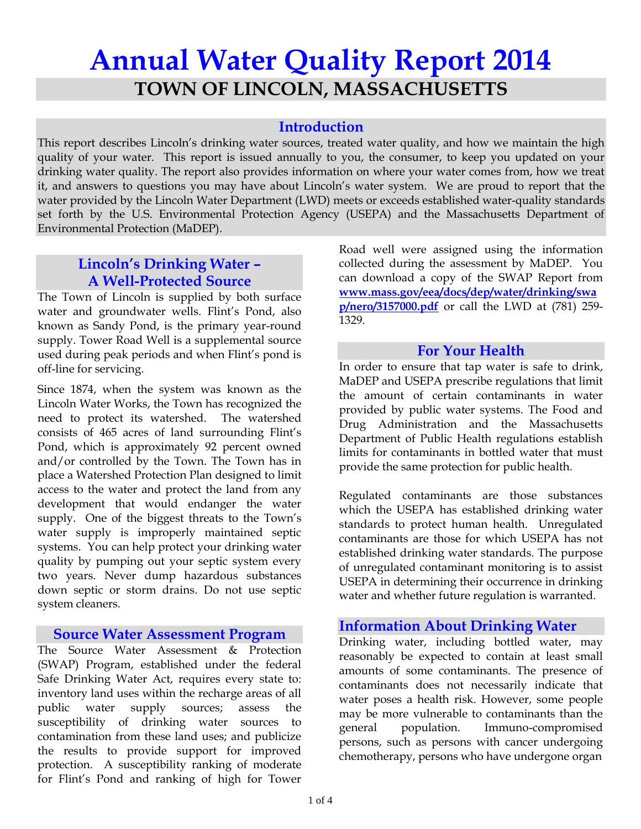# **Annual Water Quality Report 2014 TOWN OF LINCOLN, MASSACHUSETTS**

# **Introduction**

This report describes Lincoln's drinking water sources, treated water quality, and how we maintain the high quality of your water. This report is issued annually to you, the consumer, to keep you updated on your drinking water quality. The report also provides information on where your water comes from, how we treat it, and answers to questions you may have about Lincoln's water system. We are proud to report that the water provided by the Lincoln Water Department (LWD) meets or exceeds established water-quality standards set forth by the U.S. Environmental Protection Agency (USEPA) and the Massachusetts Department of Environmental Protection (MaDEP).

# **Lincoln's Drinking Water – A Well-Protected Source**

The Town of Lincoln is supplied by both surface water and groundwater wells. Flint's Pond, also known as Sandy Pond, is the primary year-round supply. Tower Road Well is a supplemental source used during peak periods and when Flint's pond is off-line for servicing.

Since 1874, when the system was known as the Lincoln Water Works, the Town has recognized the need to protect its watershed. The watershed consists of 465 acres of land surrounding Flint's Pond, which is approximately 92 percent owned and/or controlled by the Town. The Town has in place a Watershed Protection Plan designed to limit access to the water and protect the land from any development that would endanger the water supply. One of the biggest threats to the Town's water supply is improperly maintained septic systems. You can help protect your drinking water quality by pumping out your septic system every two years. Never dump hazardous substances down septic or storm drains. Do not use septic system cleaners.

# **Source Water Assessment Program**

The Source Water Assessment & Protection (SWAP) Program, established under the federal Safe Drinking Water Act, requires every state to: inventory land uses within the recharge areas of all public water supply sources; assess the susceptibility of drinking water sources to contamination from these land uses; and publicize the results to provide support for improved protection. A susceptibility ranking of moderate for Flint's Pond and ranking of high for Tower

Road well were assigned using the information collected during the assessment by MaDEP. You can download a copy of the SWAP Report from **www.mass.gov/eea/docs/dep/water/drinking/swa p/nero/3157000.pdf** or call the LWD at (781) 259- 1329.

#### **For Your Health**

In order to ensure that tap water is safe to drink, MaDEP and USEPA prescribe regulations that limit the amount of certain contaminants in water provided by public water systems. The Food and Drug Administration and the Massachusetts Department of Public Health regulations establish limits for contaminants in bottled water that must provide the same protection for public health.

Regulated contaminants are those substances which the USEPA has established drinking water standards to protect human health. Unregulated contaminants are those for which USEPA has not established drinking water standards. The purpose of unregulated contaminant monitoring is to assist USEPA in determining their occurrence in drinking water and whether future regulation is warranted.

# **Information About Drinking Water**

Drinking water, including bottled water, may reasonably be expected to contain at least small amounts of some contaminants. The presence of contaminants does not necessarily indicate that water poses a health risk. However, some people may be more vulnerable to contaminants than the general population. Immuno-compromised persons, such as persons with cancer undergoing chemotherapy, persons who have undergone organ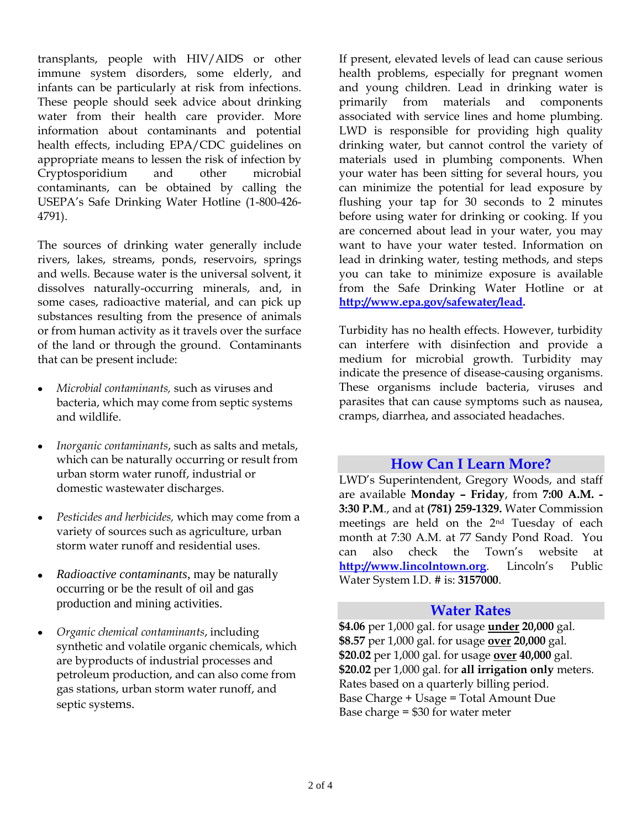transplants, people with HIV/AIDS or other immune system disorders, some elderly, and infants can be particularly at risk from infections. These people should seek advice about drinking water from their health care provider. More information about contaminants and potential health effects, including EPA/CDC guidelines on appropriate means to lessen the risk of infection by Cryptosporidium and other microbial contaminants, can be obtained by calling the USEPA's Safe Drinking Water Hotline (1-800-426- 4791).

The sources of drinking water generally include rivers, lakes, streams, ponds, reservoirs, springs and wells. Because water is the universal solvent, it dissolves naturally-occurring minerals, and, in some cases, radioactive material, and can pick up substances resulting from the presence of animals or from human activity as it travels over the surface of the land or through the ground. Contaminants that can be present include:

- *Microbial contaminants,* such as viruses and bacteria, which may come from septic systems and wildlife.
- *Inorganic contaminants*, such as salts and metals,  $\bullet$ which can be naturally occurring or result from urban storm water runoff, industrial or domestic wastewater discharges.
- *Pesticides and herbicides,* which may come from a variety of sources such as agriculture, urban storm water runoff and residential uses.
- *Radioactive contaminants*, may be naturally occurring or be the result of oil and gas production and mining activities.
- *Organic chemical contaminants*, including synthetic and volatile organic chemicals, which are byproducts of industrial processes and petroleum production, and can also come from gas stations, urban storm water runoff, and septic systems.

If present, elevated levels of lead can cause serious health problems, especially for pregnant women and young children. Lead in drinking water is primarily from materials and components associated with service lines and home plumbing. LWD is responsible for providing high quality drinking water, but cannot control the variety of materials used in plumbing components. When your water has been sitting for several hours, you can minimize the potential for lead exposure by flushing your tap for 30 seconds to 2 minutes before using water for drinking or cooking. If you are concerned about lead in your water, you may want to have your water tested. Information on lead in drinking water, testing methods, and steps you can take to minimize exposure is available from the Safe Drinking Water Hotline or at **[http://www.epa.gov/safewater/lead.](http://www.epa.gov/safewater/lead)**

Turbidity has no health effects. However, turbidity can interfere with disinfection and provide a medium for microbial growth. Turbidity may indicate the presence of disease-causing organisms. These organisms include bacteria, viruses and parasites that can cause symptoms such as nausea, cramps, diarrhea, and associated headaches.

# **How Can I Learn More?**

LWD's Superintendent, Gregory Woods, and staff are available **Monday – Friday**, from **7:00 A.M. - 3:30 P.M**., and at **(781) 259-1329.** Water Commission meetings are held on the 2nd Tuesday of each month at 7:30 A.M. at 77 Sandy Pond Road. You can also check the Town's website at **http://www.lincolntown.org**. Lincoln's Public Water System I.D. # is: **3157000**.

#### **Water Rates**

**\$4.06** per 1,000 gal. for usage **under 20,000** gal. **\$8.57** per 1,000 gal. for usage **over 20,000** gal. **\$20.02** per 1,000 gal. for usage **over 40,000** gal. **\$20.02** per 1,000 gal. for **all irrigation only** meters. Rates based on a quarterly billing period. Base Charge + Usage = Total Amount Due Base charge = \$30 for water meter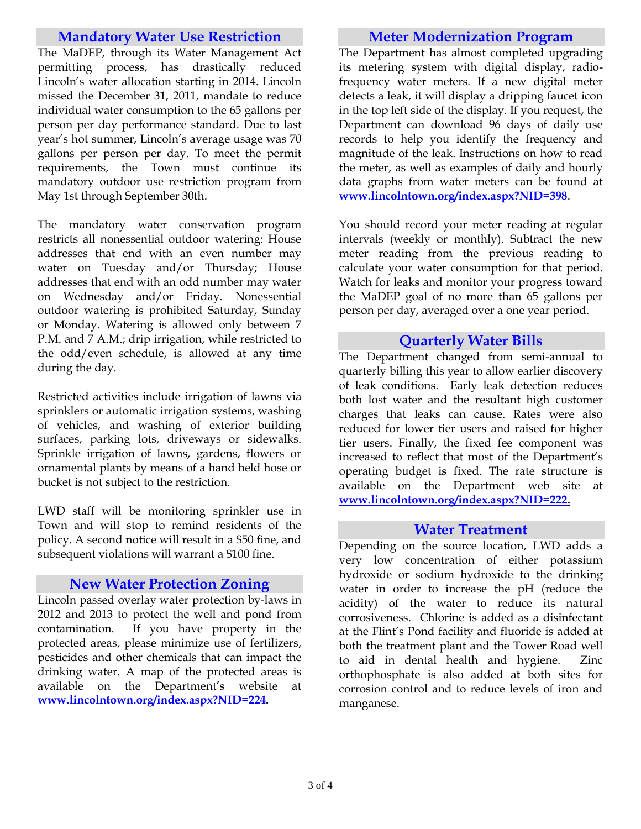# **Mandatory Water Use Restriction**

The MaDEP, through its Water Management Act permitting process, has drastically reduced Lincoln's water allocation starting in 2014. Lincoln missed the December 31, 2011, mandate to reduce individual water consumption to the 65 gallons per person per day performance standard. Due to last year's hot summer, Lincoln's average usage was 70 gallons per person per day. To meet the permit requirements, the Town must continue its mandatory outdoor use restriction program from May 1st through September 30th.

The mandatory water conservation program restricts all nonessential outdoor watering: House addresses that end with an even number may water on Tuesday and/or Thursday; House addresses that end with an odd number may water on Wednesday and/or Friday. Nonessential outdoor watering is prohibited Saturday, Sunday or Monday. Watering is allowed only between 7 P.M. and 7 A.M.; drip irrigation, while restricted to the odd/even schedule, is allowed at any time during the day.

Restricted activities include irrigation of lawns via sprinklers or automatic irrigation systems, washing of vehicles, and washing of exterior building surfaces, parking lots, driveways or sidewalks. Sprinkle irrigation of lawns, gardens, flowers or ornamental plants by means of a hand held hose or bucket is not subject to the restriction.

LWD staff will be monitoring sprinkler use in Town and will stop to remind residents of the policy. A second notice will result in a \$50 fine, and subsequent violations will warrant a \$100 fine.

#### **New Water Protection Zoning**

Lincoln passed overlay water protection by-laws in 2012 and 2013 to protect the well and pond from contamination. If you have property in the protected areas, please minimize use of fertilizers, pesticides and other chemicals that can impact the drinking water. A map of the protected areas is available on the Department's website at **[www.lincolntown.org/index.aspx?NID](http://www.lincolntown.org/index.aspx?NI)=224.**

# **Meter Modernization Program**

The Department has almost completed upgrading its metering system with digital display, radiofrequency water meters. If a new digital meter detects a leak, it will display a dripping faucet icon in the top left side of the display. If you request, the Department can download 96 days of daily use records to help you identify the frequency and magnitude of the leak. Instructions on how to read the meter, as well as examples of daily and hourly data graphs from water meters can be found at **[www.lincolntown.org/index.aspx?NID=398](http://www.lincolntown.org/index.aspx?NID=398)**.

You should record your meter reading at regular intervals (weekly or monthly). Subtract the new meter reading from the previous reading to calculate your water consumption for that period. Watch for leaks and monitor your progress toward the MaDEP goal of no more than 65 gallons per person per day, averaged over a one year period.

# **Quarterly Water Bills**

The Department changed from semi-annual to quarterly billing this year to allow earlier discovery of leak conditions. Early leak detection reduces both lost water and the resultant high customer charges that leaks can cause. Rates were also reduced for lower tier users and raised for higher tier users. Finally, the fixed fee component was increased to reflect that most of the Department's operating budget is fixed. The rate structure is available on the Department web site at **www.lincolntown.org/index.aspx?NID=222.**

#### **Water Treatment**

Depending on the source location, LWD adds a very low concentration of either potassium hydroxide or sodium hydroxide to the drinking water in order to increase the pH (reduce the acidity) of the water to reduce its natural corrosiveness. Chlorine is added as a disinfectant at the Flint's Pond facility and fluoride is added at both the treatment plant and the Tower Road well to aid in dental health and hygiene. Zinc orthophosphate is also added at both sites for corrosion control and to reduce levels of iron and manganese.